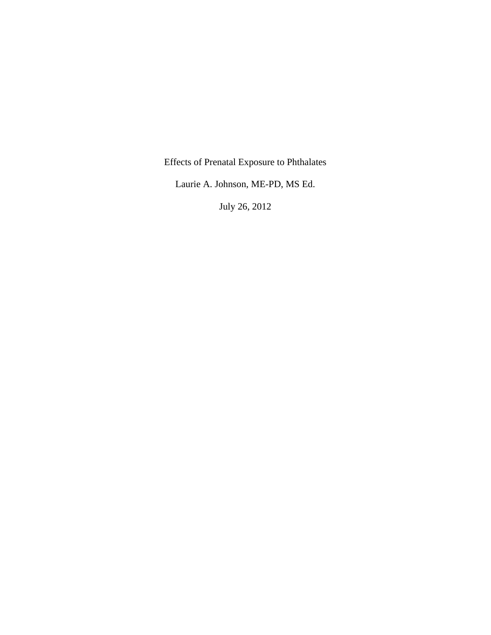Effects of Prenatal Exposure to Phthalates

Laurie A. Johnson, ME-PD, MS Ed.

July 26, 2012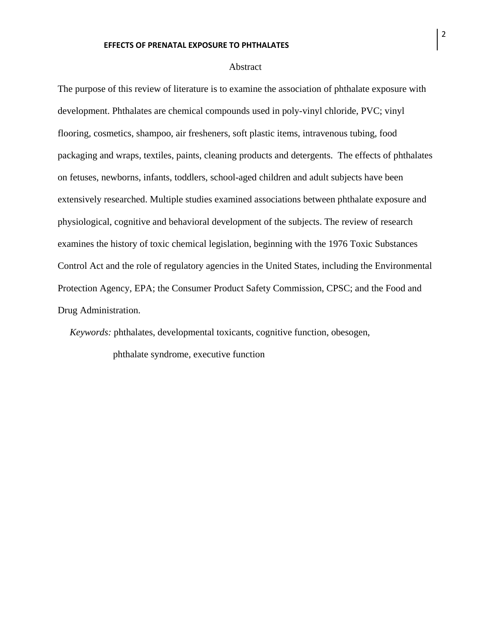## Abstract

The purpose of this review of literature is to examine the association of phthalate exposure with development. Phthalates are chemical compounds used in poly-vinyl chloride, PVC; vinyl flooring, cosmetics, shampoo, air fresheners, soft plastic items, intravenous tubing, food packaging and wraps, textiles, paints, cleaning products and detergents. The effects of phthalates on fetuses, newborns, infants, toddlers, school-aged children and adult subjects have been extensively researched. Multiple studies examined associations between phthalate exposure and physiological, cognitive and behavioral development of the subjects. The review of research examines the history of toxic chemical legislation, beginning with the 1976 Toxic Substances Control Act and the role of regulatory agencies in the United States, including the Environmental Protection Agency, EPA; the Consumer Product Safety Commission, CPSC; and the Food and Drug Administration.

*Keywords:* phthalates, developmental toxicants, cognitive function, obesogen,

phthalate syndrome, executive function

2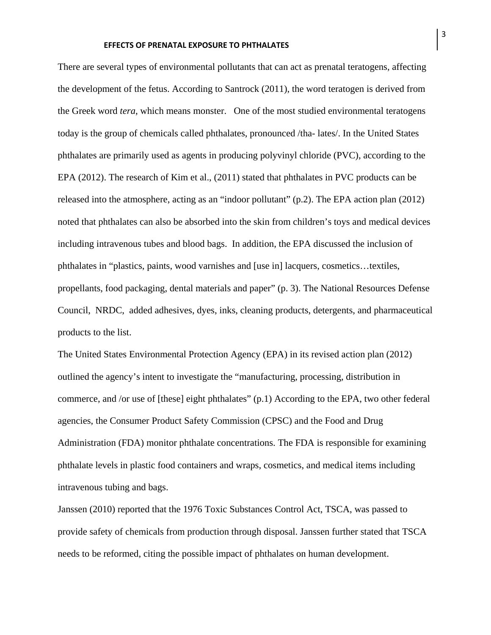There are several types of environmental pollutants that can act as prenatal teratogens, affecting the development of the fetus. According to Santrock (2011), the word teratogen is derived from the Greek word *tera*, which means monster. One of the most studied environmental teratogens today is the group of chemicals called phthalates, pronounced /tha- lates/. In the United States phthalates are primarily used as agents in producing polyvinyl chloride (PVC), according to the EPA (2012). The research of Kim et al., (2011) stated that phthalates in PVC products can be released into the atmosphere, acting as an "indoor pollutant" (p.2). The EPA action plan (2012) noted that phthalates can also be absorbed into the skin from children's toys and medical devices including intravenous tubes and blood bags. In addition, the EPA discussed the inclusion of phthalates in "plastics, paints, wood varnishes and [use in] lacquers, cosmetics…textiles, propellants, food packaging, dental materials and paper" (p. 3). The National Resources Defense Council, NRDC, added adhesives, dyes, inks, cleaning products, detergents, and pharmaceutical products to the list.

The United States Environmental Protection Agency (EPA) in its revised action plan (2012) outlined the agency's intent to investigate the "manufacturing, processing, distribution in commerce, and /or use of [these] eight phthalates" (p.1) According to the EPA, two other federal agencies, the Consumer Product Safety Commission (CPSC) and the Food and Drug Administration (FDA) monitor phthalate concentrations. The FDA is responsible for examining phthalate levels in plastic food containers and wraps, cosmetics, and medical items including intravenous tubing and bags.

Janssen (2010) reported that the 1976 Toxic Substances Control Act, TSCA, was passed to provide safety of chemicals from production through disposal. Janssen further stated that TSCA needs to be reformed, citing the possible impact of phthalates on human development.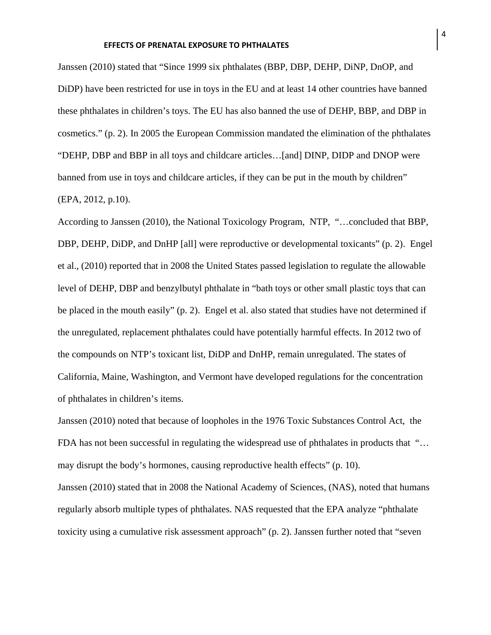Janssen (2010) stated that "Since 1999 six phthalates (BBP, DBP, DEHP, DiNP, DnOP, and DiDP) have been restricted for use in toys in the EU and at least 14 other countries have banned these phthalates in children's toys. The EU has also banned the use of DEHP, BBP, and DBP in cosmetics." (p. 2). In 2005 the European Commission mandated the elimination of the phthalates "DEHP, DBP and BBP in all toys and childcare articles…[and] DINP, DIDP and DNOP were banned from use in toys and childcare articles, if they can be put in the mouth by children" (EPA, 2012, p.10).

According to Janssen (2010), the National Toxicology Program, NTP, "…concluded that BBP, DBP, DEHP, DiDP, and DnHP [all] were reproductive or developmental toxicants" (p. 2). Engel et al., (2010) reported that in 2008 the United States passed legislation to regulate the allowable level of DEHP, DBP and benzylbutyl phthalate in "bath toys or other small plastic toys that can be placed in the mouth easily" (p. 2). Engel et al. also stated that studies have not determined if the unregulated, replacement phthalates could have potentially harmful effects. In 2012 two of the compounds on NTP's toxicant list, DiDP and DnHP, remain unregulated. The states of California, Maine, Washington, and Vermont have developed regulations for the concentration of phthalates in children's items.

Janssen (2010) noted that because of loopholes in the 1976 Toxic Substances Control Act, the FDA has not been successful in regulating the widespread use of phthalates in products that "... may disrupt the body's hormones, causing reproductive health effects" (p. 10). Janssen (2010) stated that in 2008 the National Academy of Sciences, (NAS), noted that humans regularly absorb multiple types of phthalates. NAS requested that the EPA analyze "phthalate toxicity using a cumulative risk assessment approach" (p. 2). Janssen further noted that "seven

4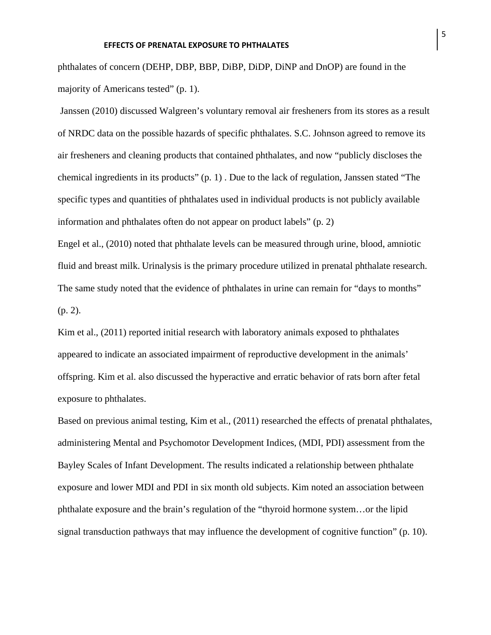phthalates of concern (DEHP, DBP, BBP, DiBP, DiDP, DiNP and DnOP) are found in the majority of Americans tested" (p. 1).

Janssen (2010) discussed Walgreen's voluntary removal air fresheners from its stores as a result of NRDC data on the possible hazards of specific phthalates. S.C. Johnson agreed to remove its air fresheners and cleaning products that contained phthalates, and now "publicly discloses the chemical ingredients in its products" (p. 1) . Due to the lack of regulation, Janssen stated "The specific types and quantities of phthalates used in individual products is not publicly available information and phthalates often do not appear on product labels" (p. 2)

Engel et al., (2010) noted that phthalate levels can be measured through urine, blood, amniotic fluid and breast milk. Urinalysis is the primary procedure utilized in prenatal phthalate research. The same study noted that the evidence of phthalates in urine can remain for "days to months" (p. 2).

Kim et al., (2011) reported initial research with laboratory animals exposed to phthalates appeared to indicate an associated impairment of reproductive development in the animals' offspring. Kim et al. also discussed the hyperactive and erratic behavior of rats born after fetal exposure to phthalates.

Based on previous animal testing, Kim et al., (2011) researched the effects of prenatal phthalates, administering Mental and Psychomotor Development Indices, (MDI, PDI) assessment from the Bayley Scales of Infant Development. The results indicated a relationship between phthalate exposure and lower MDI and PDI in six month old subjects. Kim noted an association between phthalate exposure and the brain's regulation of the "thyroid hormone system…or the lipid signal transduction pathways that may influence the development of cognitive function" (p. 10).

5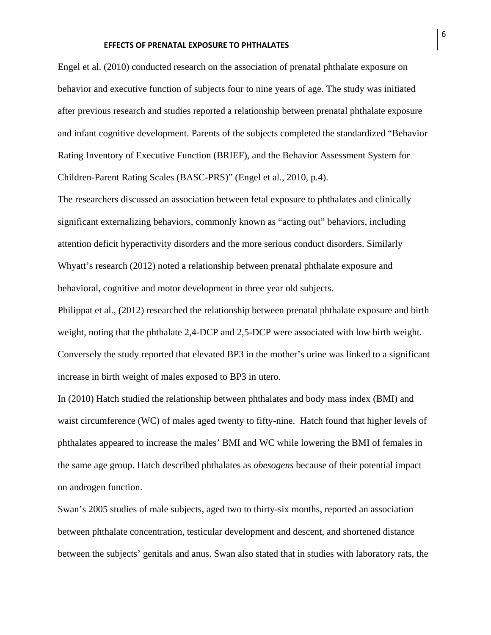Engel et al. (2010) conducted research on the association of prenatal phthalate exposure on behavior and executive function of subjects four to nine years of age. The study was initiated after previous research and studies reported a relationship between prenatal phthalate exposure and infant cognitive development. Parents of the subjects completed the standardized "Behavior Rating Inventory of Executive Function (BRIEF), and the Behavior Assessment System for Children-Parent Rating Scales (BASC-PRS)" (Engel et al., 2010, p.4).

The researchers discussed an association between fetal exposure to phthalates and clinically significant externalizing behaviors, commonly known as "acting out" behaviors, including attention deficit hyperactivity disorders and the more serious conduct disorders. Similarly Whyatt's research (2012) noted a relationship between prenatal phthalate exposure and behavioral, cognitive and motor development in three year old subjects.

Philippat et al., (2012) researched the relationship between prenatal phthalate exposure and birth weight, noting that the phthalate 2,4-DCP and 2,5-DCP were associated with low birth weight. Conversely the study reported that elevated BP3 in the mother's urine was linked to a significant increase in birth weight of males exposed to BP3 in utero.

In (2010) Hatch studied the relationship between phthalates and body mass index (BMI) and waist circumference (WC) of males aged twenty to fifty-nine. Hatch found that higher levels of phthalates appeared to increase the males' BMI and WC while lowering the BMI of females in the same age group. Hatch described phthalates as *obesogens* because of their potential impact on androgen function.

Swan's 2005 studies of male subjects, aged two to thirty-six months, reported an association between phthalate concentration, testicular development and descent, and shortened distance between the subjects' genitals and anus. Swan also stated that in studies with laboratory rats, the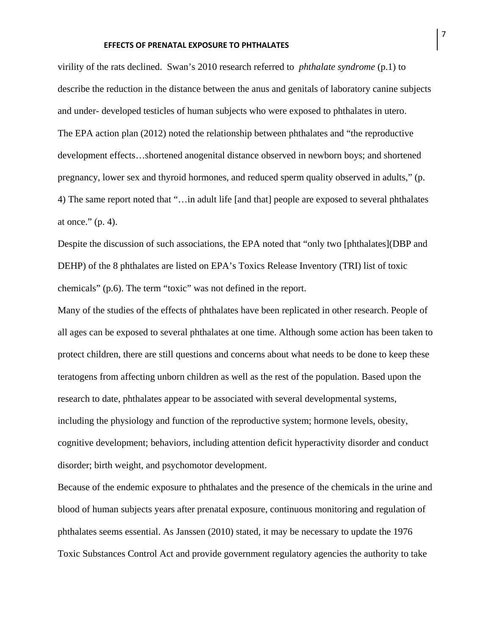virility of the rats declined. Swan's 2010 research referred to *phthalate syndrome* (p.1) to describe the reduction in the distance between the anus and genitals of laboratory canine subjects and under- developed testicles of human subjects who were exposed to phthalates in utero. The EPA action plan (2012) noted the relationship between phthalates and "the reproductive development effects…shortened anogenital distance observed in newborn boys; and shortened pregnancy, lower sex and thyroid hormones, and reduced sperm quality observed in adults," (p. 4) The same report noted that "…in adult life [and that] people are exposed to several phthalates at once." (p. 4).

Despite the discussion of such associations, the EPA noted that "only two [phthalates](DBP and DEHP) of the 8 phthalates are listed on EPA's Toxics Release Inventory (TRI) list of toxic chemicals" (p.6). The term "toxic" was not defined in the report.

Many of the studies of the effects of phthalates have been replicated in other research. People of all ages can be exposed to several phthalates at one time. Although some action has been taken to protect children, there are still questions and concerns about what needs to be done to keep these teratogens from affecting unborn children as well as the rest of the population. Based upon the research to date, phthalates appear to be associated with several developmental systems, including the physiology and function of the reproductive system; hormone levels, obesity, cognitive development; behaviors, including attention deficit hyperactivity disorder and conduct disorder; birth weight, and psychomotor development.

Because of the endemic exposure to phthalates and the presence of the chemicals in the urine and blood of human subjects years after prenatal exposure, continuous monitoring and regulation of phthalates seems essential. As Janssen (2010) stated, it may be necessary to update the 1976 Toxic Substances Control Act and provide government regulatory agencies the authority to take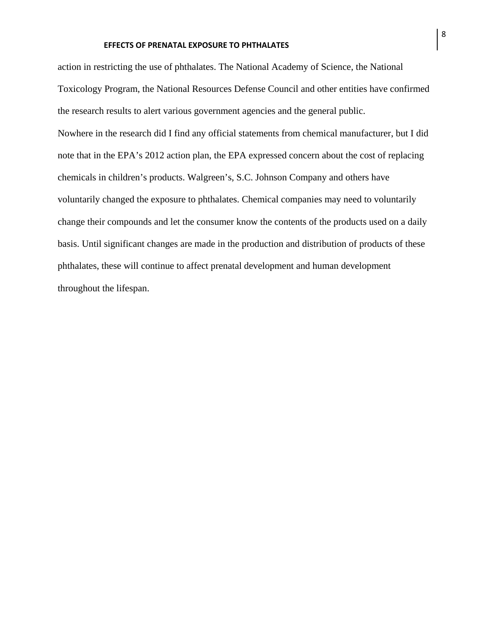action in restricting the use of phthalates. The National Academy of Science, the National Toxicology Program, the National Resources Defense Council and other entities have confirmed the research results to alert various government agencies and the general public. Nowhere in the research did I find any official statements from chemical manufacturer, but I did note that in the EPA's 2012 action plan, the EPA expressed concern about the cost of replacing chemicals in children's products. Walgreen's, S.C. Johnson Company and others have voluntarily changed the exposure to phthalates. Chemical companies may need to voluntarily change their compounds and let the consumer know the contents of the products used on a daily basis. Until significant changes are made in the production and distribution of products of these phthalates, these will continue to affect prenatal development and human development throughout the lifespan.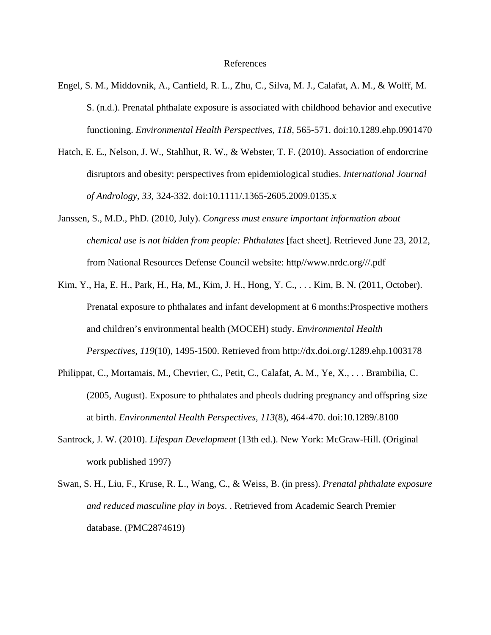# References

- Engel, S. M., Middovnik, A., Canfield, R. L., Zhu, C., Silva, M. J., Calafat, A. M., & Wolff, M. S. (n.d.). Prenatal phthalate exposure is associated with childhood behavior and executive functioning. *Environmental Health Perspectives, 118*, 565-571. doi:10.1289.ehp.0901470
- Hatch, E. E., Nelson, J. W., Stahlhut, R. W., & Webster, T. F. (2010). Association of endorcrine disruptors and obesity: perspectives from epidemiological studies. *International Journal of Andrology, 33*, 324-332. doi:10.1111/.1365-2605.2009.0135.x
- Janssen, S., M.D., PhD. (2010, July). *Congress must ensure important information about chemical use is not hidden from people: Phthalates* [fact sheet]. Retrieved June 23, 2012, from National Resources Defense Council website: http//www.nrdc.org///.pdf
- Kim, Y., Ha, E. H., Park, H., Ha, M., Kim, J. H., Hong, Y. C., . . . Kim, B. N. (2011, October). Prenatal exposure to phthalates and infant development at 6 months:Prospective mothers and children's environmental health (MOCEH) study. *Environmental Health Perspectives, 119*(10), 1495-1500. Retrieved from http://dx.doi.org/.1289.ehp.1003178
- Philippat, C., Mortamais, M., Chevrier, C., Petit, C., Calafat, A. M., Ye, X., . . . Brambilia, C. (2005, August). Exposure to phthalates and pheols dudring pregnancy and offspring size at birth. *Environmental Health Perspectives, 113*(8), 464-470. doi:10.1289/.8100
- Santrock, J. W. (2010). *Lifespan Development* (13th ed.). New York: McGraw-Hill. (Original work published 1997)
- Swan, S. H., Liu, F., Kruse, R. L., Wang, C., & Weiss, B. (in press). *Prenatal phthalate exposure and reduced masculine play in boys*. . Retrieved from Academic Search Premier database. (PMC2874619)